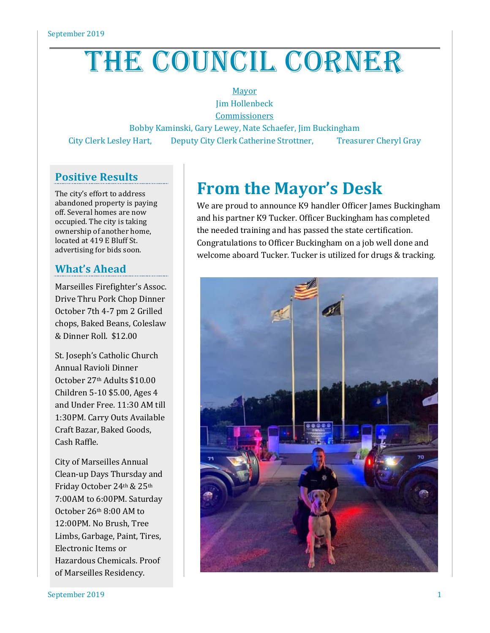# THE COUNCIL CORNER

Mayor Jim Hollenbeck

**Commissioners** 

Bobby Kaminski, Gary Lewey, Nate Schaefer, Jim Buckingham City Clerk Lesley Hart, Deputy City Clerk Catherine Strottner, Treasurer Cheryl Gray

## **Positive Results**

The city's effort to address abandoned property is paying off. Several homes are now occupied. The city is taking ownership of another home, located at 419 E Bluff St. advertising for bids soon.

## **What's Ahead**

Marseilles Firefighter's Assoc. Drive Thru Pork Chop Dinner October 7th 4-7 pm 2 Grilled chops, Baked Beans, Coleslaw & Dinner Roll. \$12.00

St. Joseph's Catholic Church Annual Ravioli Dinner October 27th Adults \$10.00 Children 5-10 \$5.00, Ages 4 and Under Free. 11:30 AM till 1:30PM. Carry Outs Available Craft Bazar, Baked Goods, Cash Raffle.

City of Marseilles Annual Clean-up Days Thursday and Friday October 24th & 25th 7:00AM to 6:00PM. Saturday October 26th 8:00 AM to 12:00PM. No Brush, Tree Limbs, Garbage, Paint, Tires, Electronic Items or Hazardous Chemicals. Proof of Marseilles Residency.

# **From the Mayor's Desk**

We are proud to announce K9 handler Officer James Buckingham and his partner K9 Tucker. Officer Buckingham has completed the needed training and has passed the state certification. Congratulations to Officer Buckingham on a job well done and welcome aboard Tucker. Tucker is utilized for drugs & tracking.